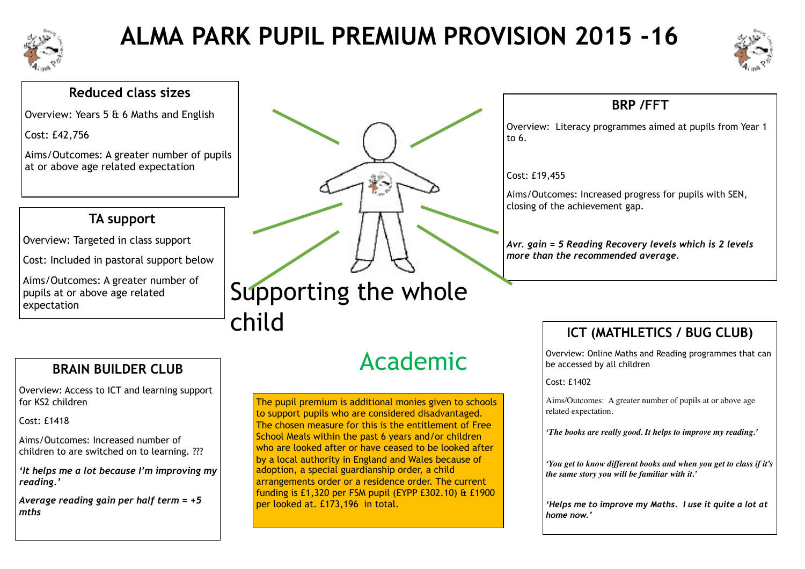

# **ALMA PARK PUPIL PREMIUM PROVISION 2015 -16**



#### **Reduced class sizes**

Overview: Years 5 & 6 Maths and English

Cost: £42,756

Aims/Outcomes: A greater number of pupils at or above age related expectation

# **TA support**

Overview: Targeted in class support

Cost: Included in pastoral support below

Aims/Outcomes: A greater number of pupils at or above age related expectation

# Supporting the whole child

## **BRAIN BUILDER CLUB**

Overview: Access to ICT and learning support for KS2 children

Cost: £1418

Aims/Outcomes: Increased number of children to are switched on to learning. ???

*'It helps me a lot because I'm improving my reading.'* 

*Average reading gain per half term = +5 mths*

# Academic

The pupil premium is additional monies given to schools to support pupils who are considered disadvantaged. The chosen measure for this is the entitlement of Free School Meals within the past 6 years and/or children who are looked after or have ceased to be looked after by a local authority in England and Wales because of adoption, a special guardianship order, a child arrangements order or a residence order. The current funding is £1,320 per FSM pupil (EYPP £302.10) & £1900 per looked at. £173,196 in total.

# **BRP /FFT**

Overview: Literacy programmes aimed at pupils from Year 1 to 6.

#### Cost: £19,455

Aims/Outcomes: Increased progress for pupils with SEN, closing of the achievement gap.

*Avr. gain = 5 Reading Recovery levels which is 2 levels more than the recommended average.* 

# **ICT (MATHLETICS / BUG CLUB)**

Overview: Online Maths and Reading programmes that can be accessed by all children

Cost: £1402

Aims/Outcomes: A greater number of pupils at or above age related expectation.

*'The books are really good. It helps to improve my reading.'*

*'You get to know different books and when you get to class if it's the same story you will be familiar with it.'*

*'Helps me to improve my Maths. I use it quite a lot at home now.'*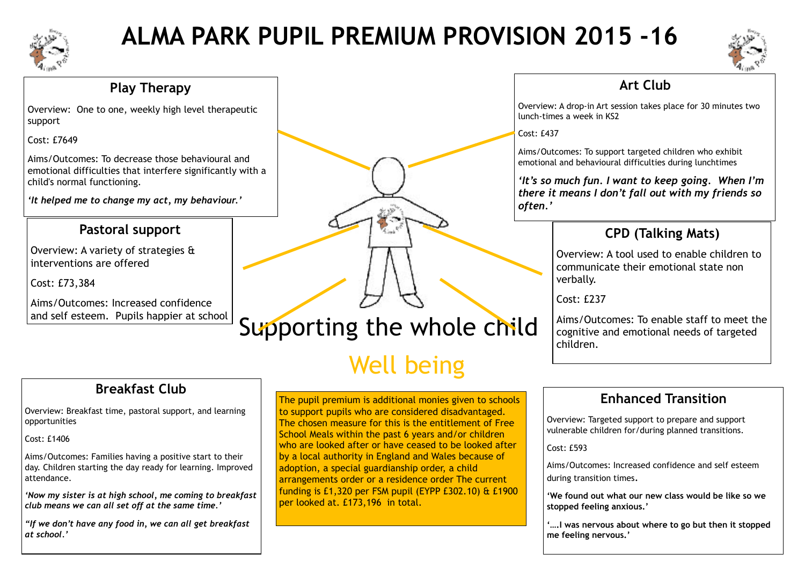

# **ALMA PARK PUPIL PREMIUM PROVISION 2015 -16**



#### **Play Therapy**

Overview: One to one, weekly high level therapeutic support

Cost: £7649

Aims/Outcomes: To decrease those behavioural and emotional difficulties that interfere significantly with a child's normal functioning.

*'It helped me to change my act, my behaviour.'* 

## **Pastoral support**

Overview: A variety of strategies & interventions are offered

Cost: £73,384

Aims/Outcomes: Increased confidence and self esteem. Pupils happier at school

## **Art Club**

Overview: A drop-in Art session takes place for 30 minutes two lunch-times a week in KS2

Cost: £437

Aims/Outcomes: To support targeted children who exhibit emotional and behavioural difficulties during lunchtimes

*'It's so much fun. I want to keep going. When I'm there it means I don't fall out with my friends so often.'*

## **CPD (Talking Mats)**

Overview: A tool used to enable children to communicate their emotional state non verbally.

Cost: £237

Aims/Outcomes: To enable staff to meet the cognitive and emotional needs of targeted children.

## **Enhanced Transition**

Overview: Targeted support to prepare and support vulnerable children for/during planned transitions.

Cost: £593

Aims/Outcomes: Increased confidence and self esteem during transition times.

**'We found out what our new class would be like so we stopped feeling anxious.'** 

**'….I was nervous about where to go but then it stopped me feeling nervous.'** 

# **Breakfast Club**

Overview: Breakfast time, pastoral support, and learning opportunities

#### Cost: £1406

Aims/Outcomes: Families having a positive start to their day. Children starting the day ready for learning. Improved attendance.

*'Now my sister is at high school, me coming to breakfast club means we can all set off at the same time.'* 

*"If we don't have any food in, we can all get breakfast at school.'* 

Supporting the whole child

# Well being

The pupil premium is additional monies given to schools to support pupils who are considered disadvantaged. The chosen measure for this is the entitlement of Free School Meals within the past 6 years and/or children who are looked after or have ceased to be looked after by a local authority in England and Wales because of adoption, a special guardianship order, a child arrangements order or a residence order The current funding is £1,320 per FSM pupil (EYPP £302.10) & £1900 per looked at. £173,196 in total.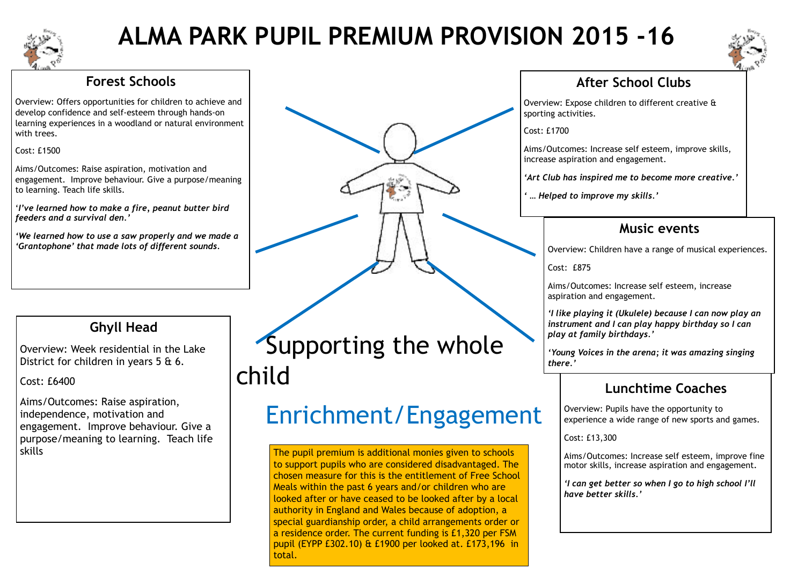

# **ALMA PARK PUPIL PREMIUM PROVISION 2015 -16**



## **Forest Schools**

Overview: Offers opportunities for children to achieve and develop confidence and self-esteem through hands-on learning experiences in a woodland or natural environment with trees.

#### Cost: £1500

Aims/Outcomes: Raise aspiration, motivation and engagement. Improve behaviour. Give a purpose/meaning to learning. Teach life skills.

'*I've learned how to make a fire, peanut butter bird feeders and a survival den.'* 

*'We learned how to use a saw properly and we made a 'Grantophone' that made lots of different sounds.* 



## **Ghyll Head**

Overview: Week residential in the Lake District for children in years 5 & 6.

Cost: £6400

Aims/Outcomes: Raise aspiration, independence, motivation and engagement. Improve behaviour. Give a purpose/meaning to learning. Teach life

 Supporting the whole child

# Enrichment/Engagement

skills The pupil premium is additional monies given to schools changes and the pupil premium is additional monies given to schools to support pupils who are considered disadvantaged. The chosen measure for this is the entitlement of Free School Meals within the past 6 years and/or children who are looked after or have ceased to be looked after by a local authority in England and Wales because of adoption, a special guardianship order, a child arrangements order or a residence order. The current funding is £1,320 per FSM pupil (EYPP £302.10) & £1900 per looked at. £173,196 in total.

## **After School Clubs**

Overview: Expose children to different creative & sporting activities.

Cost: £1700

Aims/Outcomes: Increase self esteem, improve skills, increase aspiration and engagement.

*'Art Club has inspired me to become more creative.'* 

*' … Helped to improve my skills.'*

## **Music events**

Overview: Children have a range of musical experiences.

Cost: £875

Aims/Outcomes: Increase self esteem, increase aspiration and engagement.

*'I like playing it (Ukulele) because I can now play an instrument and I can play happy birthday so I can play at family birthdays.'* 

*'Young Voices in the arena; it was amazing singing there.'*

# **Lunchtime Coaches**

Overview: Pupils have the opportunity to experience a wide range of new sports and games.

Cost: £13,300

Aims/Outcomes: Increase self esteem, improve fine motor skills, increase aspiration and engagement*.* 

*'I can get better so when I go to high school I'll have better skills.'*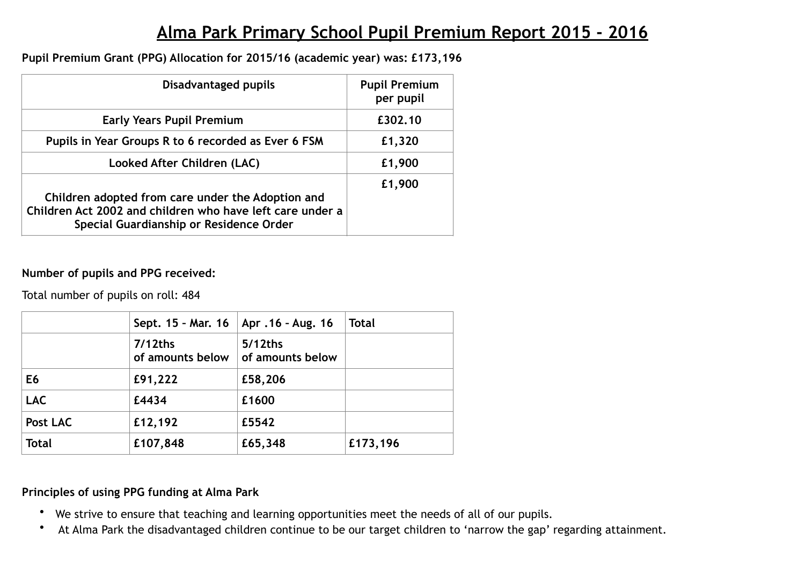# **Alma Park Primary School Pupil Premium Report 2015 - 2016**

#### **Pupil Premium Grant (PPG) Allocation for 2015/16 (academic year) was: £173,196**

| Disadvantaged pupils                                                                                                                                      | <b>Pupil Premium</b><br>per pupil |  |  |
|-----------------------------------------------------------------------------------------------------------------------------------------------------------|-----------------------------------|--|--|
| <b>Early Years Pupil Premium</b>                                                                                                                          | £302.10                           |  |  |
| Pupils in Year Groups R to 6 recorded as Ever 6 FSM                                                                                                       | £1,320                            |  |  |
| Looked After Children (LAC)                                                                                                                               | £1,900                            |  |  |
| Children adopted from care under the Adoption and<br>Children Act 2002 and children who have left care under a<br>Special Guardianship or Residence Order | £1,900                            |  |  |

#### **Number of pupils and PPG received:**

Total number of pupils on roll: 484

|                | Sept. $15 -$ Mar. 16           | Apr .16 - Aug. 16           | <b>Total</b> |
|----------------|--------------------------------|-----------------------------|--------------|
|                | $7/12$ ths<br>of amounts below | 5/12ths<br>of amounts below |              |
| E <sub>6</sub> | £91,222                        | £58,206                     |              |
| <b>LAC</b>     | £4434                          | £1600                       |              |
| Post LAC       | £12,192                        | £5542                       |              |
| <b>Total</b>   | £107,848                       | £65,348                     | £173,196     |

#### **Principles of using PPG funding at Alma Park**

- We strive to ensure that teaching and learning opportunities meet the needs of all of our pupils.
- At Alma Park the disadvantaged children continue to be our target children to 'narrow the gap' regarding attainment.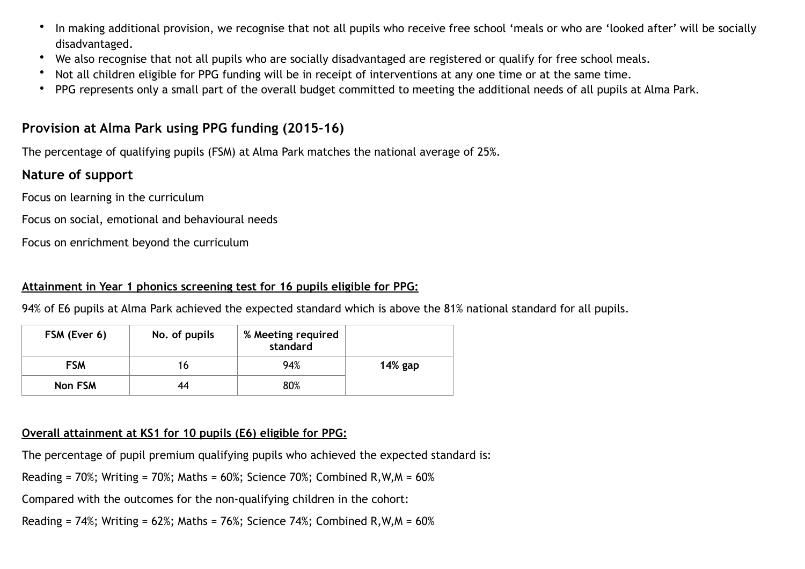- In making additional provision, we recognise that not all pupils who receive free school 'meals or who are 'looked after' will be socially disadvantaged.
- We also recognise that not all pupils who are socially disadvantaged are registered or qualify for free school meals.
- Not all children eligible for PPG funding will be in receipt of interventions at any one time or at the same time.
- PPG represents only a small part of the overall budget committed to meeting the additional needs of all pupils at Alma Park.

#### **Provision at Alma Park using PPG funding (2015-16)**

The percentage of qualifying pupils (FSM) at Alma Park matches the national average of 25%.

#### **Nature of support**

Focus on learning in the curriculum

Focus on social, emotional and behavioural needs

Focus on enrichment beyond the curriculum

#### **Attainment in Year 1 phonics screening test for 16 pupils eligible for PPG:**

94% of E6 pupils at Alma Park achieved the expected standard which is above the 81% national standard for all pupils.

| FSM (Ever 6) | No. of pupils | % Meeting required<br>standard |         |
|--------------|---------------|--------------------------------|---------|
| <b>FSM</b>   | 16            | 94%                            | 14% gap |
| Non FSM      | 44            | 80%                            |         |

#### **Overall attainment at KS1 for 10 pupils (E6) eligible for PPG:**

The percentage of pupil premium qualifying pupils who achieved the expected standard is:

Reading =  $70\%$ ; Writing =  $70\%$ ; Maths =  $60\%$ ; Science  $70\%$ ; Combined R, W, M =  $60\%$ 

Compared with the outcomes for the non-qualifying children in the cohort:

Reading =  $74\%$ ; Writing =  $62\%$ ; Maths =  $76\%$ ; Science  $74\%$ ; Combined R, W, M =  $60\%$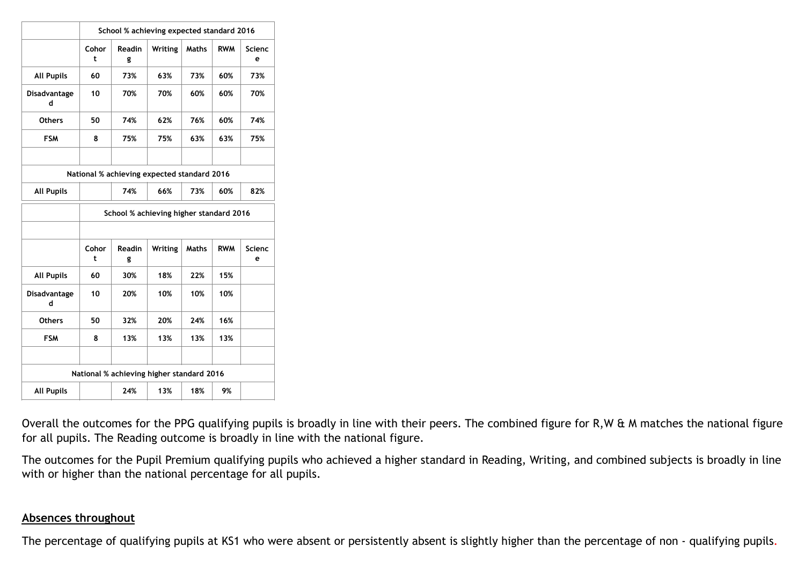|                                           | School % achieving expected standard 2016 |                                             |         |              |            |                    |
|-------------------------------------------|-------------------------------------------|---------------------------------------------|---------|--------------|------------|--------------------|
|                                           | Cohor<br>t                                | Readin<br>g                                 | Writing | <b>Maths</b> | <b>RWM</b> | <b>Scienc</b><br>e |
| <b>All Pupils</b>                         | 60                                        | 73%                                         | 63%     | 73%          | 60%        | 73%                |
| Disadvantage<br>d                         | 10                                        | 70%                                         | 70%     | 60%          | 60%        | 70%                |
| <b>Others</b>                             | 50                                        | 74%                                         | 62%     | 76%          | 60%        | 74%                |
| <b>FSM</b>                                | 8                                         | 75%                                         | 75%     | 63%          | 63%        | 75%                |
|                                           |                                           |                                             |         |              |            |                    |
|                                           |                                           | National % achieving expected standard 2016 |         |              |            |                    |
| <b>All Pupils</b>                         |                                           | 74%                                         | 66%     | 73%          | 60%        | 82%                |
|                                           | School % achieving higher standard 2016   |                                             |         |              |            |                    |
|                                           |                                           |                                             |         |              |            |                    |
|                                           | Cohor<br>t                                | Readin<br>g                                 | Writing | <b>Maths</b> | <b>RWM</b> | Scienc<br>e        |
| <b>All Pupils</b>                         | 60                                        | 30%                                         | 18%     | 22%          | 15%        |                    |
| Disadvantage<br>d                         | 10                                        | 20%                                         | 10%     | 10%          | 10%        |                    |
| <b>Others</b>                             | 50                                        | 32%                                         | 20%     | 24%          | 16%        |                    |
| <b>FSM</b>                                | 8                                         | 13%                                         | 13%     | 13%          | 13%        |                    |
|                                           |                                           |                                             |         |              |            |                    |
| National % achieving higher standard 2016 |                                           |                                             |         |              |            |                    |
| <b>All Pupils</b>                         |                                           | 24%                                         | 13%     | 18%          | 9%         |                    |

Overall the outcomes for the PPG qualifying pupils is broadly in line with their peers. The combined figure for R,W & M matches the national figure for all pupils. The Reading outcome is broadly in line with the national figure.

The outcomes for the Pupil Premium qualifying pupils who achieved a higher standard in Reading, Writing, and combined subjects is broadly in line with or higher than the national percentage for all pupils.

#### **Absences throughout**

The percentage of qualifying pupils at KS1 who were absent or persistently absent is slightly higher than the percentage of non - qualifying pupils.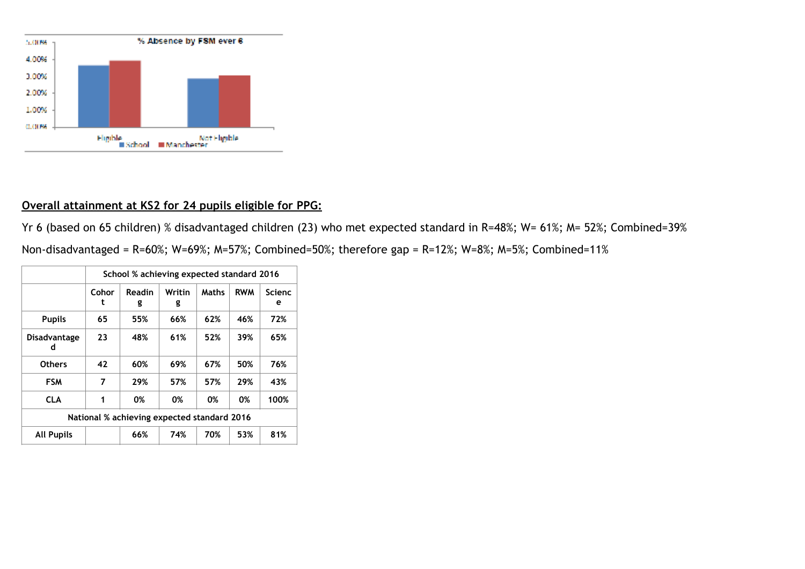

#### **Overall attainment at KS2 for 24 pupils eligible for PPG:**

Yr 6 (based on 65 children) % disadvantaged children (23) who met expected standard in R=48%; W= 61%; M= 52%; Combined=39%

Non-disadvantaged = R=60%; W=69%; M=57%; Combined=50%; therefore gap = R=12%; W=8%; M=5%; Combined=11%

|                                             | School % achieving expected standard 2016 |             |             |              |            |                    |
|---------------------------------------------|-------------------------------------------|-------------|-------------|--------------|------------|--------------------|
|                                             | Cohor<br>t                                | Readin<br>g | Writin<br>g | <b>Maths</b> | <b>RWM</b> | <b>Scienc</b><br>е |
| <b>Pupils</b>                               | 65                                        | 55%         | 66%         | 62%          | 46%        | 72%                |
| Disadvantage<br>d                           | 23                                        | 48%         | 61%         | 52%          | 39%        | 65%                |
| <b>Others</b>                               | 42                                        | 60%         | 69%         | 67%          | 50%        | 76%                |
| <b>FSM</b>                                  | 7                                         | 29%         | 57%         | 57%          | 29%        | 43%                |
| <b>CLA</b>                                  | 1                                         | 0%          | 0%          | 0%           | 0%         | 100%               |
| National % achieving expected standard 2016 |                                           |             |             |              |            |                    |
| <b>All Pupils</b>                           |                                           | 66%         | 74%         | 70%          | 53%        | 81%                |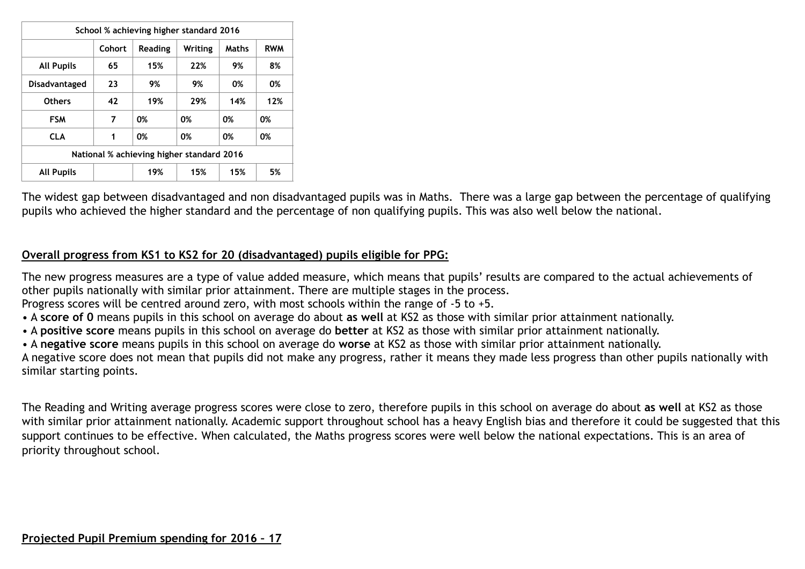|                                           |        | School % achieving higher standard 2016 |         |       |            |  |  |
|-------------------------------------------|--------|-----------------------------------------|---------|-------|------------|--|--|
|                                           | Cohort | <b>Reading</b>                          | Writing | Maths | <b>RWM</b> |  |  |
| <b>All Pupils</b>                         | 65     | 15%                                     | 22%     | 9%    | 8%         |  |  |
| Disadvantaged                             | 23     | 9%                                      | 9%      | 0%    | 0%         |  |  |
| <b>Others</b>                             | 42     | 19%                                     | 29%     | 14%   | 12%        |  |  |
| <b>FSM</b>                                | 7      | 0%                                      | 0%      | 0%    | 0%         |  |  |
| <b>CLA</b>                                | 1      | 0%                                      | 0%      | 0%    | 0%         |  |  |
| National % achieving higher standard 2016 |        |                                         |         |       |            |  |  |
| <b>All Pupils</b>                         |        | 19%                                     | 15%     | 15%   | 5%         |  |  |

The widest gap between disadvantaged and non disadvantaged pupils was in Maths. There was a large gap between the percentage of qualifying pupils who achieved the higher standard and the percentage of non qualifying pupils. This was also well below the national.

#### **Overall progress from KS1 to KS2 for 20 (disadvantaged) pupils eligible for PPG:**

The new progress measures are a type of value added measure, which means that pupils' results are compared to the actual achievements of other pupils nationally with similar prior attainment. There are multiple stages in the process.

Progress scores will be centred around zero, with most schools within the range of -5 to +5.

- A **score of 0** means pupils in this school on average do about **as well** at KS2 as those with similar prior attainment nationally.
- A **positive score** means pupils in this school on average do **better** at KS2 as those with similar prior attainment nationally.
- A **negative score** means pupils in this school on average do **worse** at KS2 as those with similar prior attainment nationally.

A negative score does not mean that pupils did not make any progress, rather it means they made less progress than other pupils nationally with similar starting points.

The Reading and Writing average progress scores were close to zero, therefore pupils in this school on average do about **as well** at KS2 as those with similar prior attainment nationally. Academic support throughout school has a heavy English bias and therefore it could be suggested that this support continues to be effective. When calculated, the Maths progress scores were well below the national expectations. This is an area of priority throughout school.